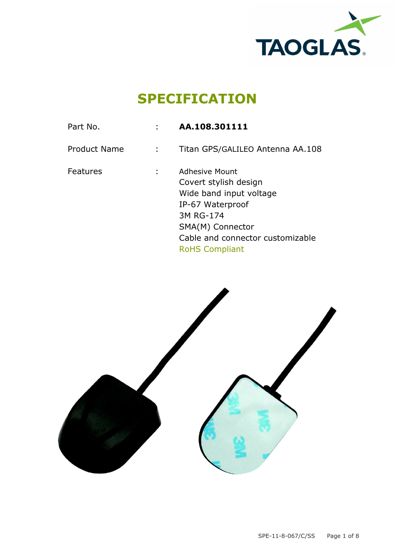

## **SPECIFICATION**

| Part No.            | AA.108.301111                                                                                                                                                                        |
|---------------------|--------------------------------------------------------------------------------------------------------------------------------------------------------------------------------------|
| <b>Product Name</b> | Titan GPS/GALILEO Antenna AA.108                                                                                                                                                     |
| Features            | Adhesive Mount<br>Covert stylish design<br>Wide band input voltage<br>IP-67 Waterproof<br>3M RG-174<br>SMA(M) Connector<br>Cable and connector customizable<br><b>RoHS Compliant</b> |
|                     |                                                                                                                                                                                      |

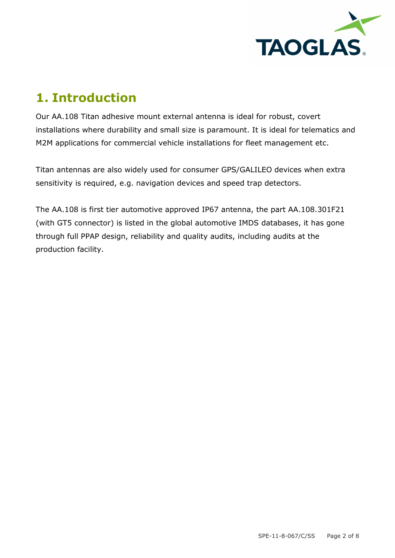

### **1. Introduction**

Our AA.108 Titan adhesive mount external antenna is ideal for robust, covert installations where durability and small size is paramount. It is ideal for telematics and M2M applications for commercial vehicle installations for fleet management etc.

Titan antennas are also widely used for consumer GPS/GALILEO devices when extra sensitivity is required, e.g. navigation devices and speed trap detectors.

The AA.108 is first tier automotive approved IP67 antenna, the part AA.108.301F21 (with GT5 connector) is listed in the global automotive IMDS databases, it has gone through full PPAP design, reliability and quality audits, including audits at the production facility.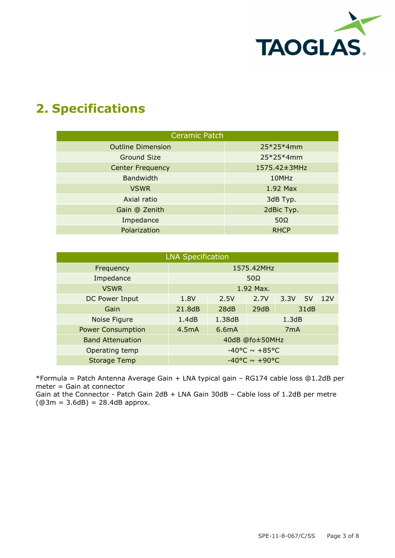

### **2. Specifications**

| <b>Ceramic Patch</b>     |              |  |  |  |  |  |  |  |
|--------------------------|--------------|--|--|--|--|--|--|--|
| <b>Outline Dimension</b> | $25*25*4mm$  |  |  |  |  |  |  |  |
| <b>Ground Size</b>       | $25*25*4mm$  |  |  |  |  |  |  |  |
| <b>Center Frequency</b>  | 1575.42±3MHz |  |  |  |  |  |  |  |
| <b>Bandwidth</b>         | 10MHz        |  |  |  |  |  |  |  |
| <b>VSWR</b>              | 1.92 Max     |  |  |  |  |  |  |  |
| Axial ratio              | 3dB Typ.     |  |  |  |  |  |  |  |
| Gain @ Zenith            | 2dBic Typ.   |  |  |  |  |  |  |  |
| Impedance                | $50\Omega$   |  |  |  |  |  |  |  |
| Polarization             | <b>RHCP</b>  |  |  |  |  |  |  |  |

| <b>LNA Specification</b>                  |                                    |                    |                  |           |  |     |  |  |  |  |
|-------------------------------------------|------------------------------------|--------------------|------------------|-----------|--|-----|--|--|--|--|
| 1575.42MHz<br>Frequency                   |                                    |                    |                  |           |  |     |  |  |  |  |
| Impedance<br>50 $\Omega$                  |                                    |                    |                  |           |  |     |  |  |  |  |
| <b>VSWR</b>                               | 1.92 Max.                          |                    |                  |           |  |     |  |  |  |  |
| DC Power Input                            | 1.8V                               | 2.5V               | 2.7V             | $3.3V$ 5V |  | 12V |  |  |  |  |
| Gain                                      | 21,8dB                             | 28dB               | 29dB<br>31dB     |           |  |     |  |  |  |  |
| Noise Figure                              | 1.4dB                              | 1.38dB             | 1.3dB            |           |  |     |  |  |  |  |
| <b>Power Consumption</b>                  | 4.5mA                              | 6.6 <sub>m</sub> A | 7 <sub>m</sub> A |           |  |     |  |  |  |  |
| <b>Band Attenuation</b>                   | 40dB @fo±50MHz                     |                    |                  |           |  |     |  |  |  |  |
| $-40^{\circ}$ C ~ +85°C<br>Operating temp |                                    |                    |                  |           |  |     |  |  |  |  |
| <b>Storage Temp</b>                       | $-40^{\circ}$ C ~ +90 $^{\circ}$ C |                    |                  |           |  |     |  |  |  |  |

\*Formula = Patch Antenna Average Gain + LNA typical gain – RG174 cable loss @1.2dB per meter = Gain at connector

Gain at the Connector - Patch Gain 2dB + LNA Gain 30dB – Cable loss of 1.2dB per metre  $(Q3m = 3.6dB) = 28.4dB$  approx.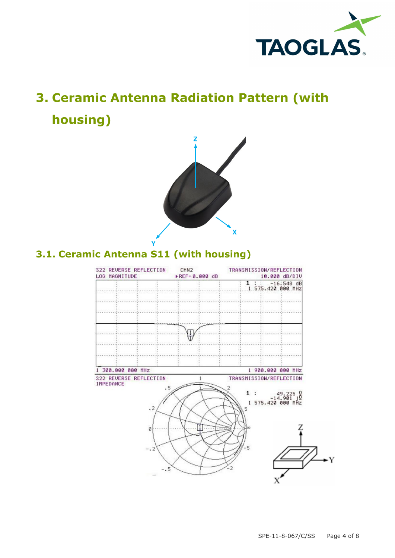

# **3. Ceramic Antenna Radiation Pattern (with housing)**



### **3.1. Ceramic Antenna S11 (with housing)**

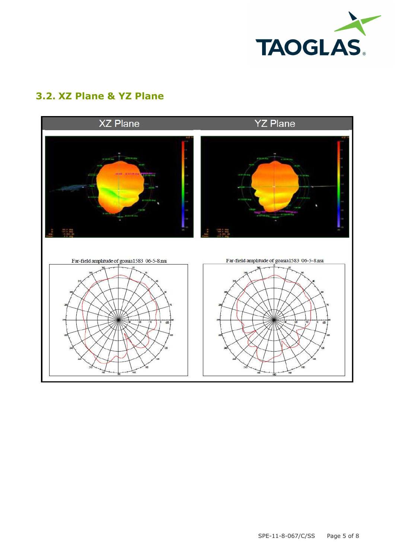

### **3.2. XZ Plane & YZ Plane**

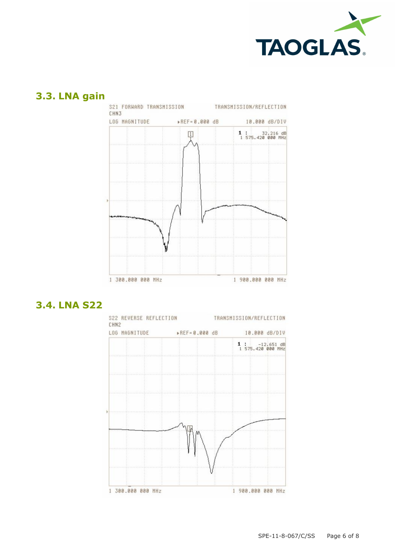

#### **3.3. LNA gain**



#### **3.4. LNA S22**

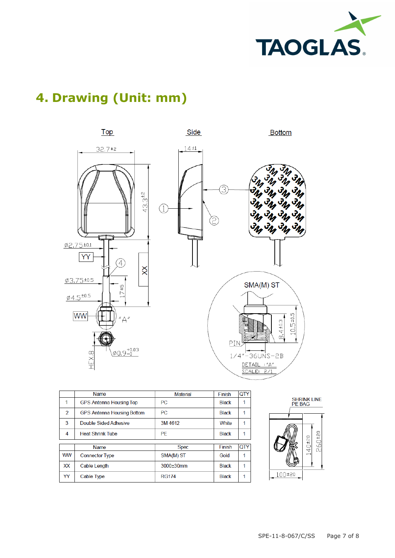

### **4. Drawing (Unit: mm)**



|               | Name                              | <b>Material</b> | Finish       | QTY |
|---------------|-----------------------------------|-----------------|--------------|-----|
|               | <b>GPS Antenna Housing Top</b>    | <b>PC</b>       | <b>Black</b> | 1   |
| $\mathcal{P}$ | <b>GPS Antenna Housing Bottom</b> | PC              | <b>Black</b> | 1   |
| 3             | Double Sided Adhesive             | 3M 4612         | White        | 1   |
| 4             | <b>Heat Shrink Tube</b>           | PE              | <b>Black</b> | 1   |
|               |                                   |                 |              |     |
|               | Name                              | <b>Spec</b>     | Finish       | QTY |
| <b>WW</b>     | <b>Connector Type</b>             | SMA(M) ST       | Gold         | 1   |
| <b>XX</b>     | Cable Length                      | 3000±30mm       | <b>Black</b> | 1   |
| YY            | Cable Type                        | <b>RG174</b>    | <b>Black</b> | 1   |